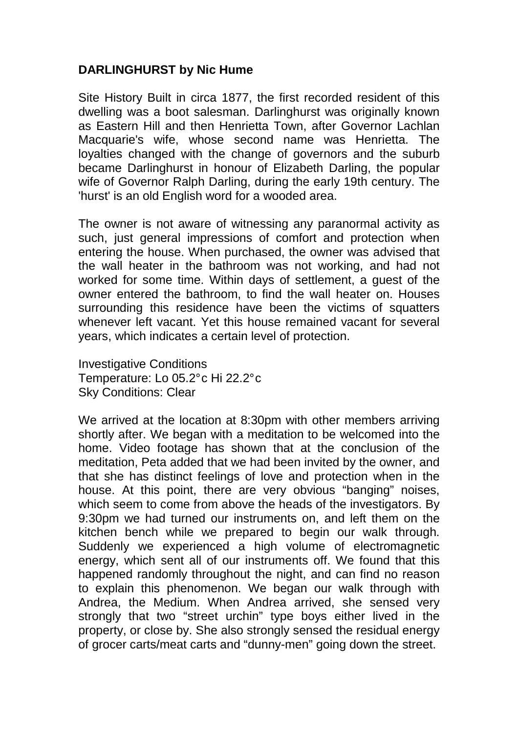## **DARLINGHURST by Nic Hume**

Site History Built in circa 1877, the first recorded resident of this dwelling was a boot salesman. Darlinghurst was originally known as Eastern Hill and then Henrietta Town, after Governor Lachlan Macquarie's wife, whose second name was Henrietta. The loyalties changed with the change of governors and the suburb became Darlinghurst in honour of Elizabeth Darling, the popular wife of Governor Ralph Darling, during the early 19th century. The 'hurst' is an old English word for a wooded area.

The owner is not aware of witnessing any paranormal activity as such, just general impressions of comfort and protection when entering the house. When purchased, the owner was advised that the wall heater in the bathroom was not working, and had not worked for some time. Within days of settlement, a guest of the owner entered the bathroom, to find the wall heater on. Houses surrounding this residence have been the victims of squatters whenever left vacant. Yet this house remained vacant for several years, which indicates a certain level of protection.

Investigative Conditions Temperature: Lo 05.2° c Hi 22.2° c Sky Conditions: Clear

We arrived at the location at 8:30pm with other members arriving shortly after. We began with a meditation to be welcomed into the home. Video footage has shown that at the conclusion of the meditation, Peta added that we had been invited by the owner, and that she has distinct feelings of love and protection when in the house. At this point, there are very obvious "banging" noises, which seem to come from above the heads of the investigators. By 9:30pm we had turned our instruments on, and left them on the kitchen bench while we prepared to begin our walk through. Suddenly we experienced a high volume of electromagnetic energy, which sent all of our instruments off. We found that this happened randomly throughout the night, and can find no reason to explain this phenomenon. We began our walk through with Andrea, the Medium. When Andrea arrived, she sensed very strongly that two "street urchin" type boys either lived in the property, or close by. She also strongly sensed the residual energy of grocer carts/meat carts and "dunny-men" going down the street.